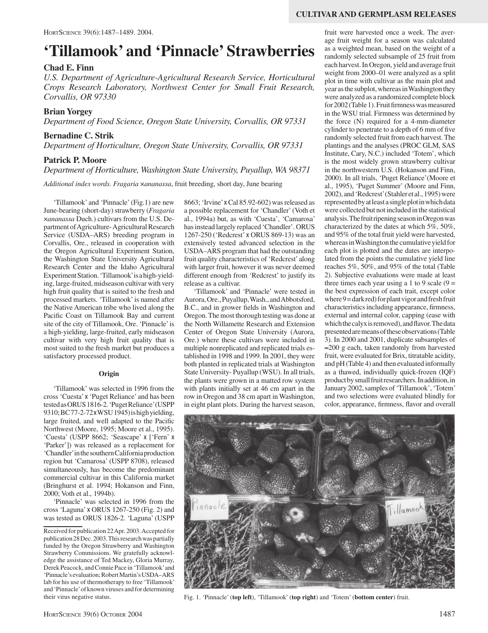# **'Tillamook' and 'Pinnacle' Strawberries**

## **Chad E. Finn**

*U.S. Department of Agriculture-Agricultural Research Service, Horticultural Crops Research Laboratory, Northwest Center for Small Fruit Research, Corvallis, OR 97330*

## **Brian Yorgey**

*Department of Food Science, Oregon State University, Corvallis, OR 97331*

#### **Bernadine C. Strik**

*Department of Horticulture, Oregon State University, Corvallis, OR 97331*

## **Patrick P. Moore**

*Department of Horticulture, Washington State University, Puyallup, WA 98371*

*Additional index words. Fragaria* ×*ananassa*, fruit breeding, short day, June bearing

'Tillamook' and 'Pinnacle' (Fig.1) are new June-bearing (short-day) strawberry (*Fragaria*  ×*ananassa* Duch.) cultivars from the U.S. Department of Agriculture- Agricultural Research Service (USDA–ARS) breeding program in Corvallis, Ore., released in cooperation with the Oregon Agricultural Experiment Station, the Washington State University Agricultural Research Center and the Idaho Agricultural Experiment Station. 'Tillamook' is a high-yielding, large-fruited, midseason cultivar with very high fruit quality that is suited to the fresh and processed markets. 'Tillamook' is named after the Native American tribe who lived along the Pacific Coast on Tillamook Bay and current site of the city of Tillamook, Ore. 'Pinnacle' is a high-yielding, large-fruited, early midseason cultivar with very high fruit quality that is most suited to the fresh market but produces a satisfactory processed product.

#### **Origin**

'Tillamook' was selected in 1996 from the cross 'Cuesta' x 'Puget Reliance' and has been tested as ORUS 1816-2. 'Puget Reliance' (USPP 9310; BC 77-2-72 xWSU 1945) is high yielding, large fruited, and well adapted to the Pacific Northwest (Moore, 1995; Moore et al., 1995). 'Cuesta' (USPP 8662; 'Seascape' x ['Fern' x 'Parker']) was released as a replacement for 'Chandler' in the southern California production region but 'Camarosa' (USPP 8708), released simultaneously, has become the predominant commercial cultivar in this California market (Bringhurst et al. 1994; Hokanson and Finn, 2000; Voth et al., 1994b).

'Pinnacle' was selected in 1996 from the cross 'Laguna' x ORUS 1267-250 (Fig. 2) and was tested as ORUS 1826-2. 'Laguna' (USPP

Received for publication 22 Apr. 2003. Accepted for publication 28 Dec. 2003. This research was partially funded by the Oregon Strawberry and Washington Strawberry Commissions. We gratefully acknowledge the assistance of Ted Mackey, Gloria Murray, Derek Peacock, and Connie Pace in 'Tillamook' and 'Pinnacle's evaluation; Robert Martin's USDA–ARS lab for his use of thermotherapy to free 'Tillamook' and 'Pinnacle' of known viruses and for determining their virus negative status.

8663; 'Irvine' xCal 85.92-602) was released as a possible replacement for 'Chandler' (Voth et al., 1994a) but, as with 'Cuesta', 'Camarosa' has instead largely replaced 'Chandler'. ORUS 1267-250 ('Redcrest' x ORUS 869-13) was an extensively tested advanced selection in the USDA–ARS program that had the outstanding fruit quality characteristics of 'Redcrest' along with larger fruit, however it was never deemed different enough from 'Redcrest' to justify its release as a cultivar.

'Tillamook' and 'Pinnacle' were tested in Aurora, Ore., Puyallup, Wash., and Abbotsford, B.C., and in grower fields in Washington and Oregon. The most thorough testing was done at the North Willamette Research and Extension Center of Oregon State University (Aurora, Ore.) where these cultivars were included in multiple nonreplicated and replicated trials established in 1998 and 1999. In 2001, they were both planted in replicated trials at Washington State University- Puyallup (WSU). In all trials, the plants were grown in a matted row system with plants initially set at 46 cm apart in the row in Oregon and 38 cm apart in Washington, in eight plant plots. During the harvest season,

fruit were harvested once a week. The average fruit weight for a season was calculated as a weighted mean, based on the weight of a randomly selected subsample of 25 fruit from each harvest. In Oregon, yield and average fruit weight from 2000–01 were analyzed as a split plot in time with cultivar as the main plot and year as the subplot, whereas in Washington they were analyzed as a randomized complete block for 2002 (Table 1). Fruit firmness was measured in the WSU trial. Firmness was determined by the force (N) required for a 4-mm-diameter cylinder to penetrate to a depth of 6 mm of five randomly selected fruit from each harvest. The plantings and the analyses (PROC GLM, SAS Institute, Cary, N.C.) included 'Totem', which is the most widely grown strawberry cultivar in the northwestern U.S. (Hokanson and Finn, 2000). In all trials, 'Puget Reliance'(Moore et al., 1995), 'Puget Summer' (Moore and Finn, 2002), and 'Redcrest' (Stahler et al., 1995) were represented by at least a single plot in which data were collected but not included in the statistical analysis. The fruit ripening season in Oregon was characterized by the dates at which 5%, 50%, and 95% of the total fruit yield were harvested, whereas in Washington the cumulative yield for each plot is plotted and the dates are interpolated from the points the cumulative yield line reaches 5%, 50%, and 95% of the total (Table 2). Subjective evaluations were made at least three times each year using a 1 to 9 scale  $(9 =$ the best expression of each trait, except color where 9 = dark red) for plant vigor and fresh fruit characteristics including appearance, firmness, external and internal color, capping (ease with which the calyx is removed), and flavor.The data presented are means of these observations (Table 3). In 2000 and 2001, duplicate subsamples of ≈200 g each, taken randomly from harvested fruit, were evaluated for Brix, titratable acidity, and pH (Table 4) and then evaluated informally as a thawed, individually quick-frozen (IQF) product by small fruit researchers. In addition, in January 2002, samples of 'Tillamook', 'Totem' and two selections were evaluated blindly for color, appearance, firmness, flavor and overall



Fig. 1. 'Pinnacle' (**top left**), 'Tillamook' (**top right**) and 'Totem' (**bottom center**) fruit.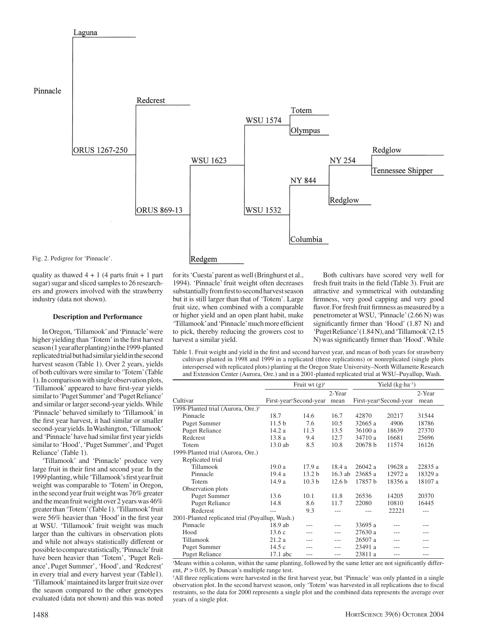

Fig. 2. Pedigree for 'Pinnacle'.

Laguna

quality as thawed  $4 + 1$  (4 parts fruit + 1 part sugar) sugar and sliced samples to 26 researchers and growers involved with the strawberry industry (data not shown).

#### **Description and Performance**

In Oregon, 'Tillamook' and 'Pinnacle' were higher yielding than 'Totem' in the first harvest season (1 year after planting) in the 1999-planted replicated trial but had similar yield in the second harvest season (Table 1). Over 2 years, yields of both cultivars were similar to 'Totem' (Table 1). In comparison with single observation plots, 'Tillamook' appeared to have first-year yields similar to 'Puget Summer' and 'Puget Reliance' and similar or larger second-year yields. While 'Pinnacle' behaved similarly to 'Tillamook' in the first year harvest, it had similar or smaller second-year yields. In Washington, 'Tillamook' and 'Pinnacle' have had similar first year yields similar to 'Hood', 'Puget Summer', and 'Puget Reliance' (Table 1).

'Tillamook' and 'Pinnacle' produce very large fruit in their first and second year. In the 1999 planting, while 'Tillamook's first year fruit weight was comparable to 'Totem' in Oregon, in the second year fruit weight was 76% greater and the mean fruit weight over 2 years was 46% greater than 'Totem' (Table 1). 'Tillamook' fruit were 56% heavier than 'Hood' in the first year at WSU. 'Tillamook' fruit weight was much larger than the cultivars in observation plots and while not always statistically different or possible to compare statistically, 'Pinnacle' fruit have been heavier than 'Totem', 'Puget Reliance', Puget Summer', 'Hood', and 'Redcrest' in every trial and every harvest year (Table1). 'Tillamook' maintained its larger fruit size over the season compared to the other genotypes evaluated (data not shown) and this was noted

#### Redgem

for its 'Cuesta' parent as well (Bringhurst et al., 1994). 'Pinnacle' fruit weight often decreases substantially from first to second harvest season but it is still larger than that of 'Totem'. Large fruit size, when combined with a comparable or higher yield and an open plant habit, make 'Tillamook' and 'Pinnacle' much more efficient to pick, thereby reducing the growers cost to harvest a similar yield.

Both cultivars have scored very well for fresh fruit traits in the field (Table 3). Fruit are attractive and symmetrical with outstanding firmness, very good capping and very good flavor. For fresh fruit firmness as measured by a penetrometer at WSU, 'Pinnacle' (2.66 N) was significantly firmer than 'Hood' (1.87 N) and 'Puget Reliance' (1.84 N), and 'Tillamook' (2.15 N) was significantly firmer than 'Hood'. While

Table 1. Fruit weight and yield in the first and second harvest year, and mean of both years for strawberry cultivars planted in 1998 and 1999 in a replicated (three replications) or nonreplicated (single plots interspersed with replicated plots) planting at the Oregon State University–North Willamette Research and Extension Center (Aurora, Ore.) and in a 2001-planted replicated trial at WSU–Puyallup, Wash.

|                                                 | Fruit wt $(g)^z$                    |                   |                   | Yield $(kg \cdot ha^{-1})$          |         |         |
|-------------------------------------------------|-------------------------------------|-------------------|-------------------|-------------------------------------|---------|---------|
|                                                 |                                     |                   | 2-Year            |                                     |         | 2-Year  |
| Cultivar                                        | First-year <sup>y</sup> Second-year |                   | mean              | First-year <sup>y</sup> Second-year |         | mean    |
| 1998-Planted trial (Aurora, Ore.) <sup>y</sup>  |                                     |                   |                   |                                     |         |         |
| Pinnacle                                        | 18.7                                | 14.6              | 16.7              | 42870                               | 20217   | 31544   |
| <b>Puget Summer</b>                             | 11.5 <sub>b</sub>                   | 7.6               | 10.5              | 32665 a                             | 4906    | 18786   |
| <b>Puget Reliance</b>                           | 14.2 a                              | 11.3              | 13.5              | 36100 a                             | 18639   | 27370   |
| Redcrest                                        | 13.8 a                              | 9.4               | 12.7              | 34710 a                             | 16681   | 25696   |
| Totem                                           | $13.0$ ab                           | 8.5               | 10.8              | 20678 b                             | 11574   | 16126   |
| 1999-Planted trial (Aurora, Ore.)               |                                     |                   |                   |                                     |         |         |
| Replicated trial                                |                                     |                   |                   |                                     |         |         |
| Tillamook                                       | 19.0a                               | 17.9 a            | 18.4 a            | 26042 a                             | 19628 a | 22835 a |
| Pinnacle                                        | 19.4a                               | 13.2 <sub>b</sub> | $16.3$ ab         | 23685 a                             | 12972 a | 18329 a |
| Totem                                           | 14.9 a                              | 10.3 <sub>b</sub> | 12.6 <sub>b</sub> | 17857 b                             | 18356 a | 18107 a |
| Observation plots                               |                                     |                   |                   |                                     |         |         |
| <b>Puget Summer</b>                             | 13.6                                | 10.1              | 11.8              | 26536                               | 14205   | 20370   |
| <b>Puget Reliance</b>                           | 14.8                                | 8.6               | 11.7              | 22080                               | 10810   | 16445   |
| Redcrest                                        |                                     | 9.3               |                   |                                     | 22221   |         |
| 2001-Planted replicated trial (Puyallup, Wash.) |                                     |                   |                   |                                     |         |         |
| Pinnacle                                        | 18.9 ab                             | ---               |                   | 33695 a                             |         |         |
| Hood                                            | 13.6c                               | ---               | ---               | 27630 a                             |         |         |
| Tillamook                                       | 21.2a                               | ---               | ---               | 26507 a                             | ---     |         |
| <b>Puget Summer</b>                             | 14.5 c                              |                   |                   | 23491 a                             |         |         |
| <b>Puget Reliance</b>                           | $17.1$ abc                          | ---               | ---               | 23811 a                             | ---     |         |

z Means within a column, within the same planting, followed by the same letter are not significantly different,  $P > 0.05$ , by Duncan's multiple range test.

y All three replications were harvested in the first harvest year, but 'Pinnacle' was only planted in a single observation plot. In the second harvest season, only 'Totem' was harvested in all replications due to fiscal restraints, so the data for 2000 represents a single plot and the combined data represents the average over years of a single plot.